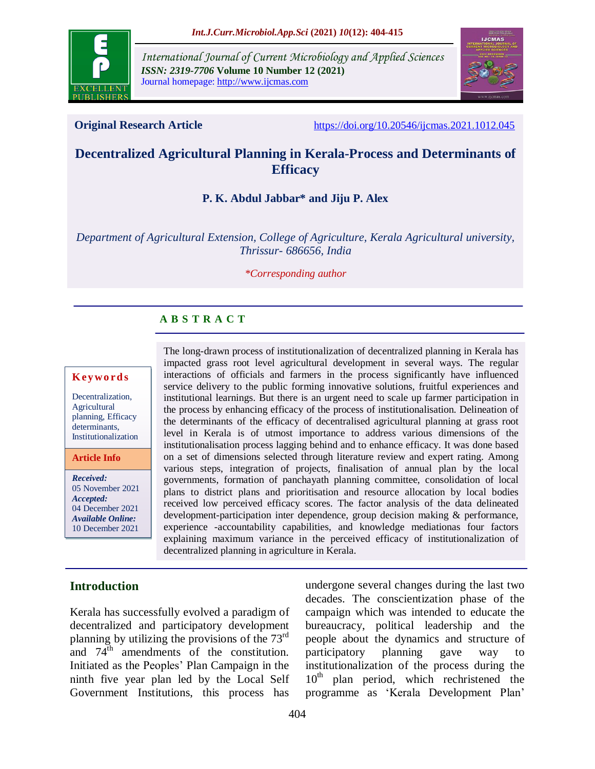

*International Journal of Current Microbiology and Applied Sciences ISSN: 2319-7706* **Volume 10 Number 12 (2021)**  Journal homepage: http://www.ijcmas.com



**Original Research Article** <https://doi.org/10.20546/ijcmas.2021.1012.045>

# **Decentralized Agricultural Planning in Kerala-Process and Determinants of Efficacy**

# **P. K. Abdul Jabbar\* and Jiju P. Alex**

*Department of Agricultural Extension, College of Agriculture, Kerala Agricultural university, Thrissur- 686656, India*

#### *\*Corresponding author*

# **A B S T R A C T**

#### **K ey w o rd s**

Decentralization, Agricultural planning, Efficacy determinants, Institutionalization

**Article Info**

*Received:* 05 November 2021 *Accepted:* 04 December 2021 *Available Online:* 10 December 2021

impacted grass root level agricultural development in several ways. The regular interactions of officials and farmers in the process significantly have influenced service delivery to the public forming innovative solutions, fruitful experiences and institutional learnings. But there is an urgent need to scale up farmer participation in the process by enhancing efficacy of the process of institutionalisation. Delineation of the determinants of the efficacy of decentralised agricultural planning at grass root level in Kerala is of utmost importance to address various dimensions of the institutionalisation process lagging behind and to enhance efficacy. It was done based on a set of dimensions selected through literature review and expert rating. Among various steps, integration of projects, finalisation of annual plan by the local governments, formation of panchayath planning committee, consolidation of local plans to district plans and prioritisation and resource allocation by local bodies received low perceived efficacy scores. The factor analysis of the data delineated development-participation inter dependence, group decision making & performance, experience -accountability capabilities, and knowledge mediationas four factors explaining maximum variance in the perceived efficacy of institutionalization of decentralized planning in agriculture in Kerala.

The long-drawn process of institutionalization of decentralized planning in Kerala has

## **Introduction**

Kerala has successfully evolved a paradigm of decentralized and participatory development planning by utilizing the provisions of the 73rd and  $74^{\text{th}}$  amendments of the constitution. Initiated as the Peoples' Plan Campaign in the ninth five year plan led by the Local Self Government Institutions, this process has

undergone several changes during the last two decades. The conscientization phase of the campaign which was intended to educate the bureaucracy, political leadership and the people about the dynamics and structure of participatory planning gave way to institutionalization of the process during the  $10<sup>th</sup>$  plan period, which rechristened the programme as 'Kerala Development Plan'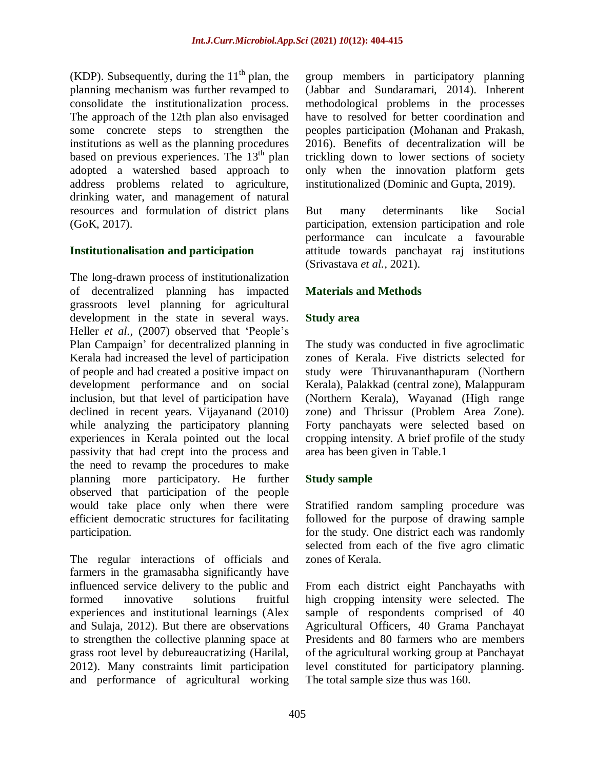(KDP). Subsequently, during the  $11<sup>th</sup>$  plan, the planning mechanism was further revamped to consolidate the institutionalization process. The approach of the 12th plan also envisaged some concrete steps to strengthen the institutions as well as the planning procedures based on previous experiences. The  $13<sup>th</sup>$  plan adopted a watershed based approach to address problems related to agriculture, drinking water, and management of natural resources and formulation of district plans (GoK, 2017).

# **Institutionalisation and participation**

The long-drawn process of institutionalization of decentralized planning has impacted grassroots level planning for agricultural development in the state in several ways. Heller *et al.,* (2007) observed that 'People's Plan Campaign' for decentralized planning in Kerala had increased the level of participation of people and had created a positive impact on development performance and on social inclusion, but that level of participation have declined in recent years. Vijayanand (2010) while analyzing the participatory planning experiences in Kerala pointed out the local passivity that had crept into the process and the need to revamp the procedures to make planning more participatory. He further observed that participation of the people would take place only when there were efficient democratic structures for facilitating participation.

The regular interactions of officials and farmers in the gramasabha significantly have influenced service delivery to the public and formed innovative solutions fruitful experiences and institutional learnings (Alex and Sulaja, 2012). But there are observations to strengthen the collective planning space at grass root level by debureaucratizing (Harilal, 2012). Many constraints limit participation and performance of agricultural working

group members in participatory planning (Jabbar and Sundaramari, 2014). Inherent methodological problems in the processes have to resolved for better coordination and peoples participation (Mohanan and Prakash, 2016). Benefits of decentralization will be trickling down to lower sections of society only when the innovation platform gets institutionalized (Dominic and Gupta, 2019).

But many determinants like Social participation, extension participation and role performance can inculcate a favourable attitude towards panchayat raj institutions (Srivastava *et al.,* 2021).

# **Materials and Methods**

# **Study area**

The study was conducted in five agroclimatic zones of Kerala. Five districts selected for study were Thiruvananthapuram (Northern Kerala), Palakkad (central zone), Malappuram (Northern Kerala), Wayanad (High range zone) and Thrissur (Problem Area Zone). Forty panchayats were selected based on cropping intensity. A brief profile of the study area has been given in Table.1

# **Study sample**

Stratified random sampling procedure was followed for the purpose of drawing sample for the study. One district each was randomly selected from each of the five agro climatic zones of Kerala.

From each district eight Panchayaths with high cropping intensity were selected. The sample of respondents comprised of 40 Agricultural Officers, 40 Grama Panchayat Presidents and 80 farmers who are members of the agricultural working group at Panchayat level constituted for participatory planning. The total sample size thus was 160.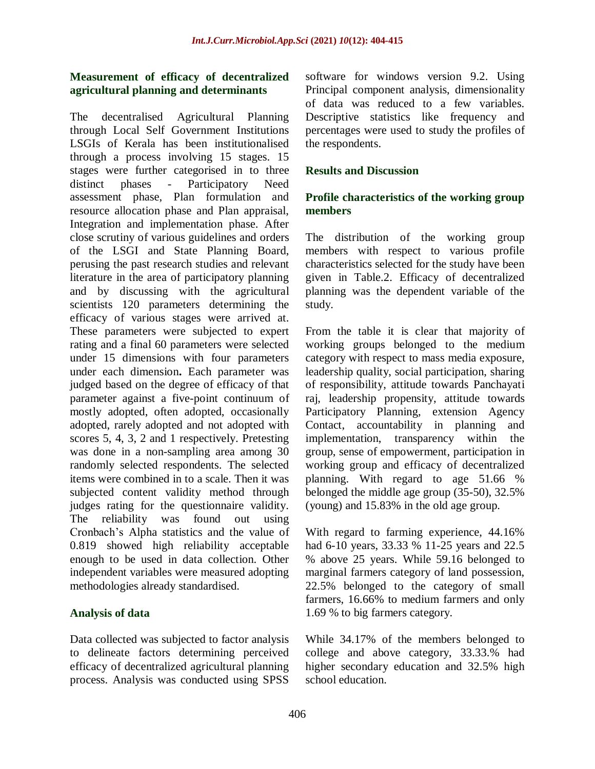# **Measurement of efficacy of decentralized agricultural planning and determinants**

The decentralised Agricultural Planning through Local Self Government Institutions LSGIs of Kerala has been institutionalised through a process involving 15 stages. 15 stages were further categorised in to three distinct phases - Participatory Need assessment phase, Plan formulation and resource allocation phase and Plan appraisal, Integration and implementation phase. After close scrutiny of various guidelines and orders of the LSGI and State Planning Board, perusing the past research studies and relevant literature in the area of participatory planning and by discussing with the agricultural scientists 120 parameters determining the efficacy of various stages were arrived at. These parameters were subjected to expert rating and a final 60 parameters were selected under 15 dimensions with four parameters under each dimension**.** Each parameter was judged based on the degree of efficacy of that parameter against a five-point continuum of mostly adopted, often adopted, occasionally adopted, rarely adopted and not adopted with scores 5, 4, 3, 2 and 1 respectively. Pretesting was done in a non-sampling area among 30 randomly selected respondents. The selected items were combined in to a scale. Then it was subjected content validity method through judges rating for the questionnaire validity. The reliability was found out using Cronbach's Alpha statistics and the value of 0.819 showed high reliability acceptable enough to be used in data collection. Other independent variables were measured adopting methodologies already standardised.

# **Analysis of data**

Data collected was subjected to factor analysis to delineate factors determining perceived efficacy of decentralized agricultural planning process. Analysis was conducted using SPSS software for windows version 9.2. Using Principal component analysis, dimensionality of data was reduced to a few variables. Descriptive statistics like frequency and percentages were used to study the profiles of the respondents.

# **Results and Discussion**

# **Profile characteristics of the working group members**

The distribution of the working group members with respect to various profile characteristics selected for the study have been given in Table.2. Efficacy of decentralized planning was the dependent variable of the study.

From the table it is clear that majority of working groups belonged to the medium category with respect to mass media exposure, leadership quality, social participation, sharing of responsibility, attitude towards Panchayati raj, leadership propensity, attitude towards Participatory Planning, extension Agency Contact, accountability in planning and implementation, transparency within the group, sense of empowerment, participation in working group and efficacy of decentralized planning. With regard to age 51.66 % belonged the middle age group (35-50), 32.5% (young) and 15.83% in the old age group.

With regard to farming experience, 44.16% had 6-10 years, 33.33 % 11-25 years and 22.5 % above 25 years. While 59.16 belonged to marginal farmers category of land possession, 22.5% belonged to the category of small farmers, 16.66% to medium farmers and only 1.69 % to big farmers category.

While 34.17% of the members belonged to college and above category, 33.33.% had higher secondary education and 32.5% high school education.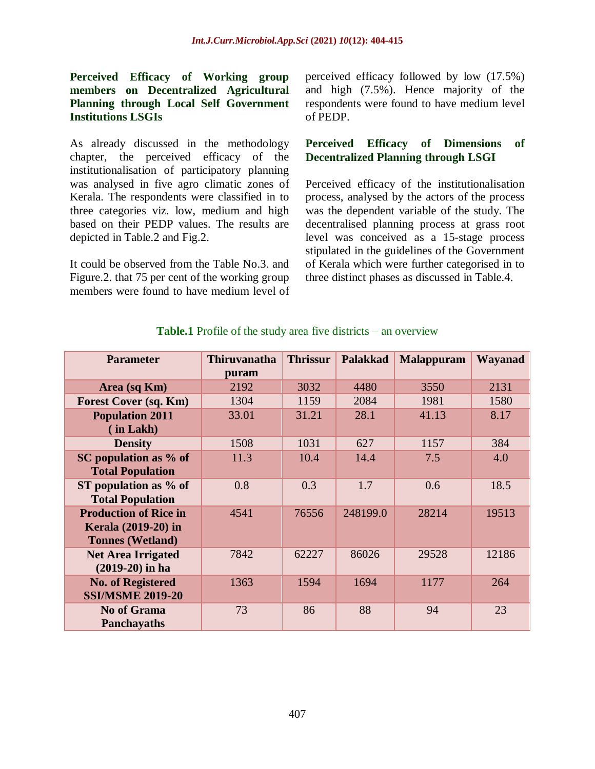**Perceived Efficacy of Working group members on Decentralized Agricultural Planning through Local Self Government Institutions LSGIs**

As already discussed in the methodology chapter, the perceived efficacy of the institutionalisation of participatory planning was analysed in five agro climatic zones of Kerala. The respondents were classified in to three categories viz. low, medium and high based on their PEDP values. The results are depicted in Table.2 and Fig.2.

It could be observed from the Table No.3. and Figure.2. that 75 per cent of the working group members were found to have medium level of perceived efficacy followed by low (17.5%) and high (7.5%). Hence majority of the respondents were found to have medium level of PEDP.

# **Perceived Efficacy of Dimensions of Decentralized Planning through LSGI**

Perceived efficacy of the institutionalisation process, analysed by the actors of the process was the dependent variable of the study. The decentralised planning process at grass root level was conceived as a 15-stage process stipulated in the guidelines of the Government of Kerala which were further categorised in to three distinct phases as discussed in Table.4.

| <b>Parameter</b>             | <b>Thiruvanatha</b> | <b>Thrissur</b> | <b>Palakkad</b> | <b>Malappuram</b> | <b>Wayanad</b> |
|------------------------------|---------------------|-----------------|-----------------|-------------------|----------------|
|                              | puram               |                 |                 |                   |                |
| Area (sq Km)                 | 2192                | 3032            | 4480            | 3550              | 2131           |
| <b>Forest Cover (sq. Km)</b> | 1304                | 1159            | 2084            | 1981              | 1580           |
| <b>Population 2011</b>       | 33.01               | 31.21           | 28.1            | 41.13             | 8.17           |
| (in Lakh)                    |                     |                 |                 |                   |                |
| <b>Density</b>               | 1508                | 1031            | 627             | 1157              | 384            |
| SC population as % of        | 11.3                | 10.4            | 14.4            | 7.5               | 4.0            |
| <b>Total Population</b>      |                     |                 |                 |                   |                |
| ST population as $%$ of      | 0.8                 | 0.3             | 1.7             | 0.6               | 18.5           |
| <b>Total Population</b>      |                     |                 |                 |                   |                |
| <b>Production of Rice in</b> | 4541                | 76556           | 248199.0        | 28214             | 19513          |
| Kerala (2019-20) in          |                     |                 |                 |                   |                |
| <b>Tonnes (Wetland)</b>      |                     |                 |                 |                   |                |
| <b>Net Area Irrigated</b>    | 7842                | 62227           | 86026           | 29528             | 12186          |
| $(2019-20)$ in ha            |                     |                 |                 |                   |                |
| <b>No. of Registered</b>     | 1363                | 1594            | 1694            | 1177              | 264            |
| <b>SSI/MSME 2019-20</b>      |                     |                 |                 |                   |                |
| <b>No of Grama</b>           | 73                  | 86              | 88              | 94                | 23             |
| <b>Panchayaths</b>           |                     |                 |                 |                   |                |

# **Table.1** Profile of the study area five districts – an overview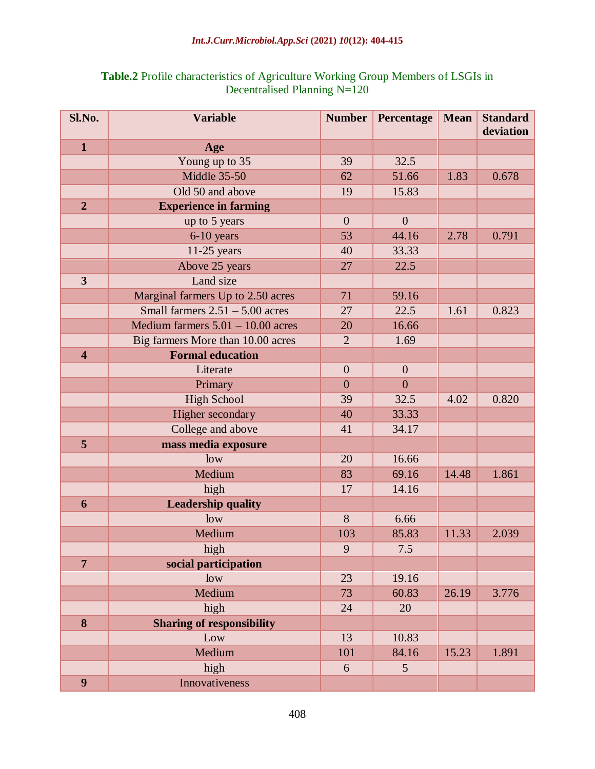# *Int.J.Curr.Microbiol.App.Sci* **(2021)** *10***(12): 404-415**

| Sl.No.                  | <b>Variable</b>                     | <b>Number</b>    | Percentage       | <b>Mean</b> | <b>Standard</b><br>deviation |
|-------------------------|-------------------------------------|------------------|------------------|-------------|------------------------------|
| $\mathbf{1}$            | Age                                 |                  |                  |             |                              |
|                         | Young up to 35                      | 39               | 32.5             |             |                              |
|                         | <b>Middle 35-50</b>                 | 62               | 51.66            | 1.83        | 0.678                        |
|                         | Old 50 and above                    | 19               | 15.83            |             |                              |
| $\overline{2}$          | <b>Experience in farming</b>        |                  |                  |             |                              |
|                         | up to 5 years                       | $\overline{0}$   | $\overline{0}$   |             |                              |
|                         | $6-10$ years                        | 53               | 44.16            | 2.78        | 0.791                        |
|                         | $11-25$ years                       | 40               | 33.33            |             |                              |
|                         | Above 25 years                      | 27               | 22.5             |             |                              |
| $\overline{\mathbf{3}}$ | Land size                           |                  |                  |             |                              |
|                         | Marginal farmers Up to 2.50 acres   | 71               | 59.16            |             |                              |
|                         | Small farmers $2.51 - 5.00$ acres   | 27               | 22.5             | 1.61        | 0.823                        |
|                         | Medium farmers $5.01 - 10.00$ acres | 20               | 16.66            |             |                              |
|                         | Big farmers More than 10.00 acres   | $\overline{2}$   | 1.69             |             |                              |
| $\overline{\mathbf{4}}$ | <b>Formal education</b>             |                  |                  |             |                              |
|                         | Literate                            | $\boldsymbol{0}$ | $\boldsymbol{0}$ |             |                              |
|                         | Primary                             | $\overline{0}$   | $\overline{0}$   |             |                              |
|                         | <b>High School</b>                  | 39               | 32.5             | 4.02        | 0.820                        |
|                         | Higher secondary                    | 40               | 33.33            |             |                              |
|                         | College and above                   | 41               | 34.17            |             |                              |
| 5                       | mass media exposure                 |                  |                  |             |                              |
|                         | low                                 | 20               | 16.66            |             |                              |
|                         | Medium                              | 83               | 69.16            | 14.48       | 1.861                        |
|                         | high                                | 17               | 14.16            |             |                              |
| 6                       | <b>Leadership quality</b>           |                  |                  |             |                              |
|                         | low                                 | 8                | 6.66             |             |                              |
|                         | Medium                              | 103              | 85.83            | 11.33       | 2.039                        |
|                         | high                                | 9                | 7.5              |             |                              |
| $\overline{7}$          | social participation                |                  |                  |             |                              |
|                         | low                                 | 23               | 19.16            |             |                              |
|                         | Medium                              | 73               | 60.83            | 26.19       | 3.776                        |
|                         | high                                | 24               | 20               |             |                              |
| 8                       | <b>Sharing of responsibility</b>    |                  |                  |             |                              |
|                         | Low                                 | 13               | 10.83            |             |                              |
|                         | Medium                              | 101              | 84.16            | 15.23       | 1.891                        |
|                         | high                                | 6                | 5 <sup>5</sup>   |             |                              |
| 9                       | Innovativeness                      |                  |                  |             |                              |

# **Table.2** Profile characteristics of Agriculture Working Group Members of LSGIs in Decentralised Planning N=120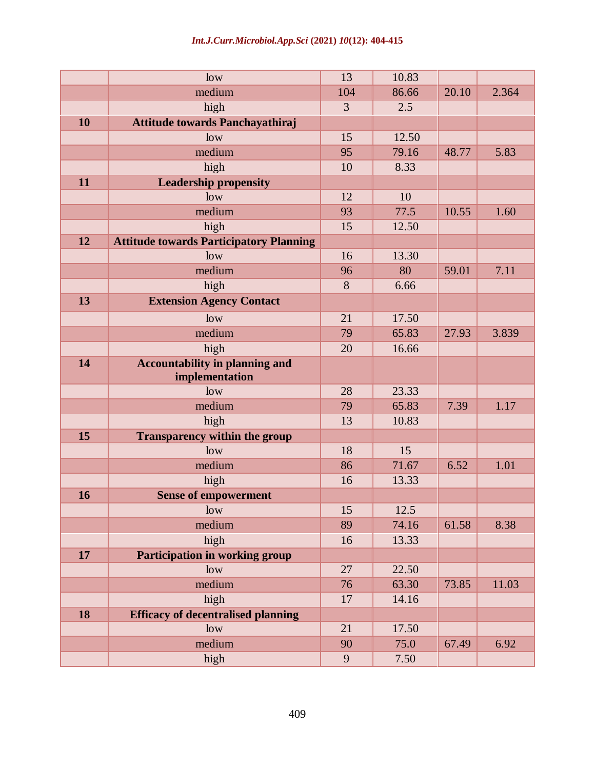# *Int.J.Curr.Microbiol.App.Sci* **(2021)** *10***(12): 404-415**

|    | low                                            | 13             | 10.83 |       |       |
|----|------------------------------------------------|----------------|-------|-------|-------|
|    | medium                                         | 104            | 86.66 | 20.10 | 2.364 |
|    | high                                           | $\overline{3}$ | 2.5   |       |       |
| 10 | Attitude towards Panchayathiraj                |                |       |       |       |
|    | low                                            | 15             | 12.50 |       |       |
|    | medium                                         | 95             | 79.16 | 48.77 | 5.83  |
|    | high                                           | 10             | 8.33  |       |       |
| 11 | <b>Leadership propensity</b>                   |                |       |       |       |
|    | low                                            | 12             | 10    |       |       |
|    | medium                                         | 93             | 77.5  | 10.55 | 1.60  |
|    | high                                           | 15             | 12.50 |       |       |
| 12 | <b>Attitude towards Participatory Planning</b> |                |       |       |       |
|    | low                                            | 16             | 13.30 |       |       |
|    | medium                                         | 96             | 80    | 59.01 | 7.11  |
|    | high                                           | 8              | 6.66  |       |       |
| 13 | <b>Extension Agency Contact</b>                |                |       |       |       |
|    | low                                            | 21             | 17.50 |       |       |
|    | medium                                         | 79             | 65.83 | 27.93 | 3.839 |
|    | high                                           | 20             | 16.66 |       |       |
| 14 | <b>Accountability in planning and</b>          |                |       |       |       |
|    | implementation                                 |                |       |       |       |
|    | low                                            | 28             | 23.33 |       |       |
|    | medium                                         | 79             | 65.83 | 7.39  | 1.17  |
|    | high                                           | 13             | 10.83 |       |       |
| 15 | <b>Transparency within the group</b>           |                |       |       |       |
|    | low                                            | 18             | 15    |       |       |
|    | medium                                         | 86             | 71.67 | 6.52  | 1.01  |
|    | high                                           | 16             | 13.33 |       |       |
| 16 | <b>Sense of empowerment</b>                    |                |       |       |       |
|    | low                                            | 15             | 12.5  |       |       |
|    | medium                                         | 89             | 74.16 | 61.58 | 8.38  |
|    | high                                           | 16             | 13.33 |       |       |
| 17 | Participation in working group                 |                |       |       |       |
|    | low                                            | 27             | 22.50 |       |       |
|    | medium                                         | 76             | 63.30 | 73.85 | 11.03 |
|    | high                                           | 17             | 14.16 |       |       |
| 18 | <b>Efficacy of decentralised planning</b>      |                |       |       |       |
|    | low                                            | 21             | 17.50 |       |       |
|    | medium                                         | 90             | 75.0  | 67.49 | 6.92  |
|    | high                                           | 9              | 7.50  |       |       |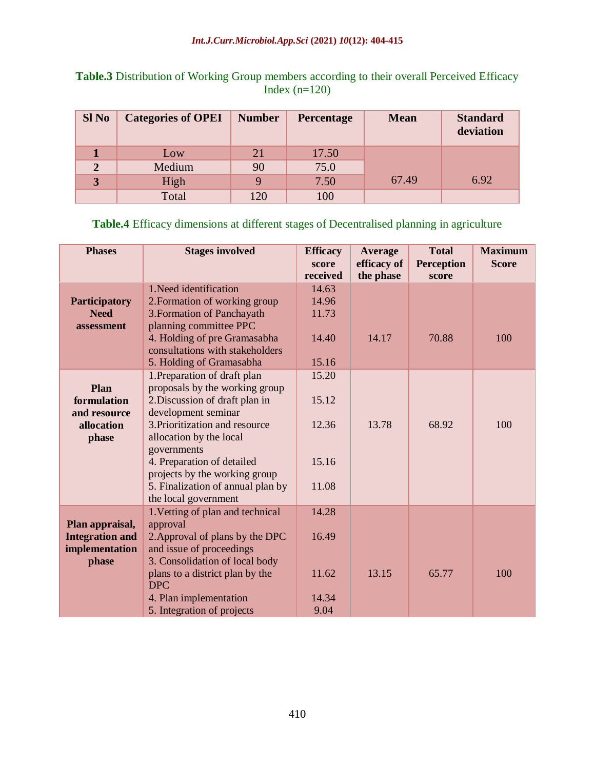| <b>Table.3</b> Distribution of Working Group members according to their overall Perceived Efficacy |                 |  |
|----------------------------------------------------------------------------------------------------|-----------------|--|
|                                                                                                    | Index $(n=120)$ |  |

| <b>Sl No</b>   | <b>Categories of OPEI</b> | <b>Number</b> | Percentage | <b>Mean</b> | <b>Standard</b><br>deviation |
|----------------|---------------------------|---------------|------------|-------------|------------------------------|
|                | Low                       | 21            | 17.50      |             |                              |
| $\overline{2}$ | Medium                    | 90            | 75.0       |             |                              |
| 3              | High                      | Q             | 7.50       | 67.49       | 6.92                         |
|                | Total                     | 120           | 100        |             |                              |

# **Table.4** Efficacy dimensions at different stages of Decentralised planning in agriculture

| <b>Phases</b>                                                        | <b>Stages involved</b>                                                                                                                                                                                                                                                                                  | <b>Efficacy</b><br>score<br>received      | <b>Average</b><br>efficacy of<br>the phase | <b>Total</b><br><b>Perception</b><br>score | <b>Maximum</b><br><b>Score</b> |
|----------------------------------------------------------------------|---------------------------------------------------------------------------------------------------------------------------------------------------------------------------------------------------------------------------------------------------------------------------------------------------------|-------------------------------------------|--------------------------------------------|--------------------------------------------|--------------------------------|
| <b>Participatory</b><br><b>Need</b><br>assessment                    | 1. Need identification<br>2. Formation of working group<br>3. Formation of Panchayath<br>planning committee PPC<br>4. Holding of pre Gramasabha<br>consultations with stakeholders                                                                                                                      | 14.63<br>14.96<br>11.73<br>14.40          | 14.17                                      | 70.88                                      | 100                            |
|                                                                      | 5. Holding of Gramasabha                                                                                                                                                                                                                                                                                | 15.16                                     |                                            |                                            |                                |
| Plan<br>formulation<br>and resource<br>allocation<br>phase           | 1. Preparation of draft plan<br>proposals by the working group<br>2. Discussion of draft plan in<br>development seminar<br>3. Prioritization and resource<br>allocation by the local<br>governments<br>4. Preparation of detailed<br>projects by the working group<br>5. Finalization of annual plan by | 15.20<br>15.12<br>12.36<br>15.16<br>11.08 | 13.78                                      | 68.92                                      | 100                            |
|                                                                      | the local government                                                                                                                                                                                                                                                                                    |                                           |                                            |                                            |                                |
| Plan appraisal,<br><b>Integration and</b><br>implementation<br>phase | 1. Vetting of plan and technical<br>approval<br>2. Approval of plans by the DPC<br>and issue of proceedings<br>3. Consolidation of local body<br>plans to a district plan by the                                                                                                                        | 14.28<br>16.49<br>11.62                   | 13.15                                      | 65.77                                      | 100                            |
|                                                                      | <b>DPC</b><br>4. Plan implementation<br>5. Integration of projects                                                                                                                                                                                                                                      | 14.34<br>9.04                             |                                            |                                            |                                |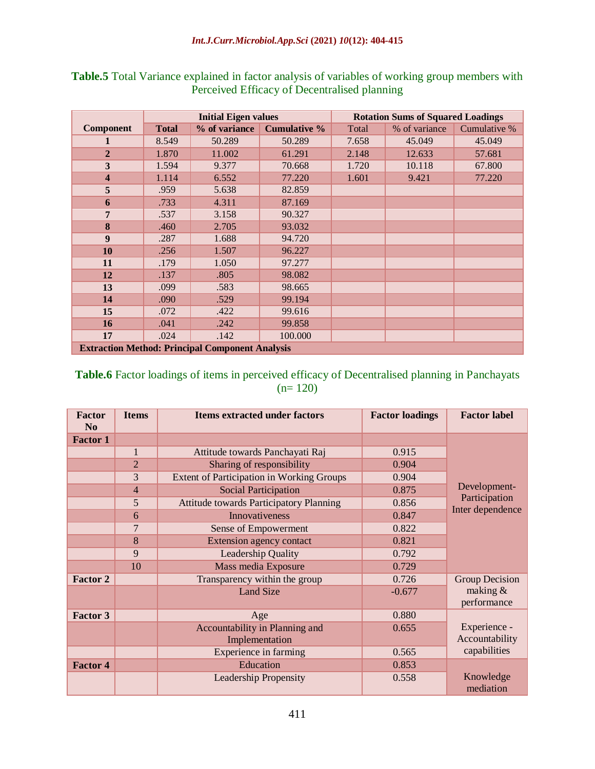|                                                        |              | <b>Initial Eigen values</b> |                     | <b>Rotation Sums of Squared Loadings</b> |               |              |
|--------------------------------------------------------|--------------|-----------------------------|---------------------|------------------------------------------|---------------|--------------|
| <b>Component</b>                                       | <b>Total</b> | % of variance               | <b>Cumulative %</b> | Total                                    | % of variance | Cumulative % |
|                                                        | 8.549        | 50.289                      | 50.289              | 7.658                                    | 45.049        | 45.049       |
| $\overline{2}$                                         | 1.870        | 11.002                      | 61.291              | 2.148                                    | 12.633        | 57.681       |
| $\overline{\mathbf{3}}$                                | 1.594        | 9.377                       | 70.668              | 1.720                                    | 10.118        | 67.800       |
| $\overline{\mathbf{4}}$                                | 1.114        | 6.552                       | 77.220              | 1.601                                    | 9.421         | 77.220       |
| 5                                                      | .959         | 5.638                       | 82.859              |                                          |               |              |
| 6                                                      | .733         | 4.311                       | 87.169              |                                          |               |              |
| 7                                                      | .537         | 3.158                       | 90.327              |                                          |               |              |
| 8                                                      | .460         | 2.705                       | 93.032              |                                          |               |              |
| 9                                                      | .287         | 1.688                       | 94.720              |                                          |               |              |
| 10                                                     | .256         | 1.507                       | 96.227              |                                          |               |              |
| 11                                                     | .179         | 1.050                       | 97.277              |                                          |               |              |
| 12                                                     | .137         | .805                        | 98.082              |                                          |               |              |
| 13                                                     | .099         | .583                        | 98.665              |                                          |               |              |
| 14                                                     | .090         | .529                        | 99.194              |                                          |               |              |
| 15                                                     | .072         | .422                        | 99.616              |                                          |               |              |
| 16                                                     | .041         | .242                        | 99.858              |                                          |               |              |
| 17                                                     | .024         | .142                        | 100.000             |                                          |               |              |
| <b>Extraction Method: Principal Component Analysis</b> |              |                             |                     |                                          |               |              |

**Table.5** Total Variance explained in factor analysis of variables of working group members with Perceived Efficacy of Decentralised planning

# **Table.6** Factor loadings of items in perceived efficacy of Decentralised planning in Panchayats  $(n= 120)$

| <b>Factor</b><br>N <sub>0</sub> | <b>Items</b>   | <b>Items extracted under factors</b>           | <b>Factor loadings</b> | <b>Factor label</b>               |
|---------------------------------|----------------|------------------------------------------------|------------------------|-----------------------------------|
| <b>Factor 1</b>                 |                |                                                |                        |                                   |
|                                 | $\mathbf{1}$   | Attitude towards Panchayati Raj                | 0.915                  |                                   |
|                                 | $\overline{2}$ | Sharing of responsibility                      | 0.904                  |                                   |
|                                 | 3              | Extent of Participation in Working Groups      | 0.904                  |                                   |
|                                 | 4              | <b>Social Participation</b>                    | 0.875                  | Development-                      |
|                                 | 5              | <b>Attitude towards Participatory Planning</b> | 0.856                  | Participation<br>Inter dependence |
|                                 | 6              | <b>Innovativeness</b>                          | 0.847                  |                                   |
|                                 | $\overline{7}$ | Sense of Empowerment                           | 0.822                  |                                   |
|                                 | 8              | <b>Extension agency contact</b>                | 0.821                  |                                   |
|                                 | 9              | Leadership Quality                             | 0.792                  |                                   |
|                                 | 10             | Mass media Exposure                            | 0.729                  |                                   |
| <b>Factor 2</b>                 |                | Transparency within the group                  | 0.726                  | Group Decision                    |
|                                 |                | <b>Land Size</b>                               | $-0.677$               | making $&$                        |
|                                 |                |                                                |                        | performance                       |
| <b>Factor 3</b>                 |                | Age                                            | 0.880                  |                                   |
|                                 |                | Accountability in Planning and                 | 0.655                  | Experience -                      |
|                                 |                | Implementation                                 |                        | Accountability                    |
|                                 |                | Experience in farming                          | 0.565                  | capabilities                      |
| <b>Factor 4</b>                 |                | Education                                      | 0.853                  |                                   |
|                                 |                | <b>Leadership Propensity</b>                   | 0.558                  | Knowledge<br>mediation            |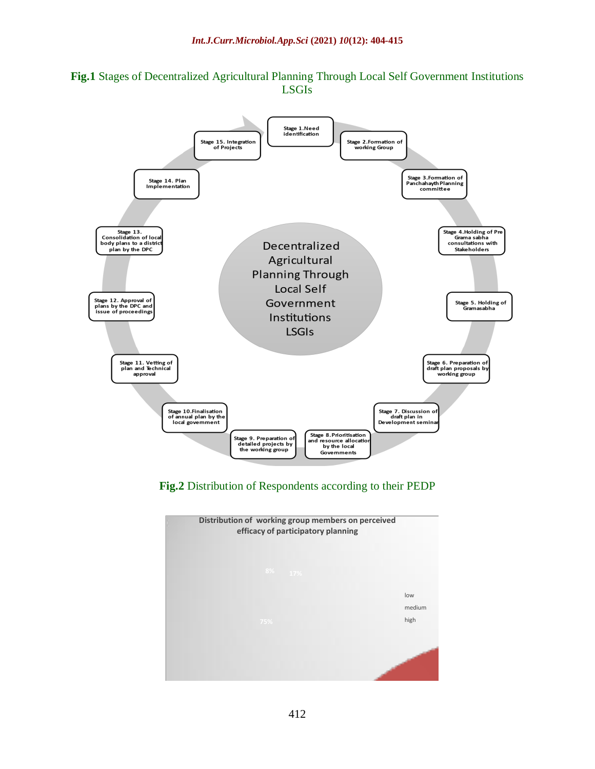

# **Fig.1** Stages of Decentralized Agricultural Planning Through Local Self Government Institutions LSGIs

**Fig.2** Distribution of Respondents according to their PEDP

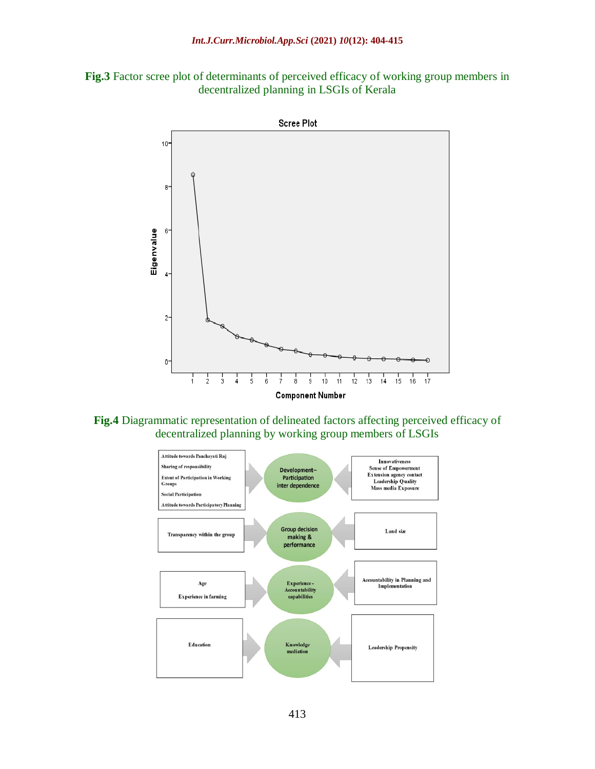



**Fig.4** Diagrammatic representation of delineated factors affecting perceived efficacy of decentralized planning by working group members of LSGIs

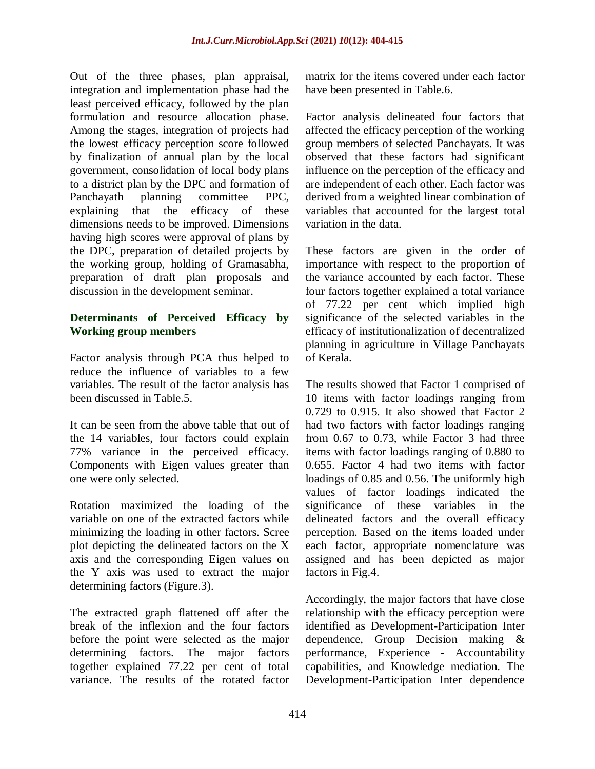Out of the three phases, plan appraisal, integration and implementation phase had the least perceived efficacy, followed by the plan formulation and resource allocation phase. Among the stages, integration of projects had the lowest efficacy perception score followed by finalization of annual plan by the local government, consolidation of local body plans to a district plan by the DPC and formation of Panchayath planning committee PPC, explaining that the efficacy of these dimensions needs to be improved. Dimensions having high scores were approval of plans by the DPC, preparation of detailed projects by the working group, holding of Gramasabha, preparation of draft plan proposals and discussion in the development seminar.

# **Determinants of Perceived Efficacy by Working group members**

Factor analysis through PCA thus helped to reduce the influence of variables to a few variables. The result of the factor analysis has been discussed in Table.5.

It can be seen from the above table that out of the 14 variables, four factors could explain 77% variance in the perceived efficacy. Components with Eigen values greater than one were only selected.

Rotation maximized the loading of the variable on one of the extracted factors while minimizing the loading in other factors. Scree plot depicting the delineated factors on the X axis and the corresponding Eigen values on the Y axis was used to extract the major determining factors (Figure.3).

The extracted graph flattened off after the break of the inflexion and the four factors before the point were selected as the major determining factors. The major factors together explained 77.22 per cent of total variance. The results of the rotated factor matrix for the items covered under each factor have been presented in Table.6.

Factor analysis delineated four factors that affected the efficacy perception of the working group members of selected Panchayats. It was observed that these factors had significant influence on the perception of the efficacy and are independent of each other. Each factor was derived from a weighted linear combination of variables that accounted for the largest total variation in the data.

These factors are given in the order of importance with respect to the proportion of the variance accounted by each factor. These four factors together explained a total variance of 77.22 per cent which implied high significance of the selected variables in the efficacy of institutionalization of decentralized planning in agriculture in Village Panchayats of Kerala.

The results showed that Factor 1 comprised of 10 items with factor loadings ranging from 0.729 to 0.915. It also showed that Factor 2 had two factors with factor loadings ranging from 0.67 to 0.73, while Factor 3 had three items with factor loadings ranging of 0.880 to 0.655. Factor 4 had two items with factor loadings of 0.85 and 0.56. The uniformly high values of factor loadings indicated the significance of these variables in the delineated factors and the overall efficacy perception. Based on the items loaded under each factor, appropriate nomenclature was assigned and has been depicted as major factors in Fig.4.

Accordingly, the major factors that have close relationship with the efficacy perception were identified as Development-Participation Inter dependence, Group Decision making & performance, Experience - Accountability capabilities, and Knowledge mediation. The Development-Participation Inter dependence